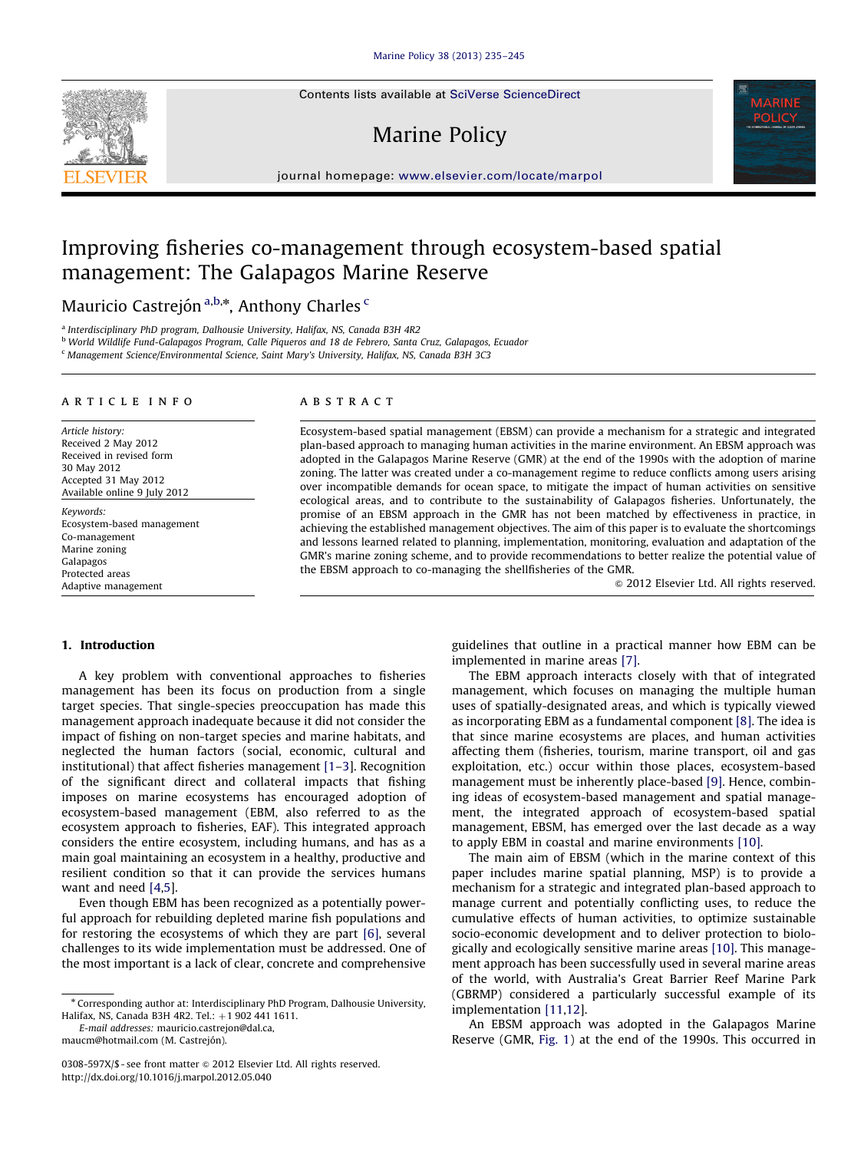Contents lists available at [SciVerse ScienceDirect](www.elsevier.com/locate/marpol)

# Marine Policy



# Improving fisheries co-management through ecosystem-based spatial management: The Galapagos Marine Reserve

Mauricio Castrejón <sup>a,b,</sup>\*, Anthony Charles <sup>c</sup>

<sup>a</sup> Interdisciplinary PhD program, Dalhousie University, Halifax, NS, Canada B3H 4R2

<sup>b</sup> World Wildlife Fund-Galapagos Program, Calle Piqueros and 18 de Febrero, Santa Cruz, Galapagos, Ecuador

<sup>c</sup> Management Science/Environmental Science, Saint Mary's University, Halifax, NS, Canada B3H 3C3

#### article info

Article history: Received 2 May 2012 Received in revised form 30 May 2012 Accepted 31 May 2012 Available online 9 July 2012

Keywords: Ecosystem-based management Co-management Marine zoning Galapagos Protected areas Adaptive management

#### **ABSTRACT**

Ecosystem-based spatial management (EBSM) can provide a mechanism for a strategic and integrated plan-based approach to managing human activities in the marine environment. An EBSM approach was adopted in the Galapagos Marine Reserve (GMR) at the end of the 1990s with the adoption of marine zoning. The latter was created under a co-management regime to reduce conflicts among users arising over incompatible demands for ocean space, to mitigate the impact of human activities on sensitive ecological areas, and to contribute to the sustainability of Galapagos fisheries. Unfortunately, the promise of an EBSM approach in the GMR has not been matched by effectiveness in practice, in achieving the established management objectives. The aim of this paper is to evaluate the shortcomings and lessons learned related to planning, implementation, monitoring, evaluation and adaptation of the GMR's marine zoning scheme, and to provide recommendations to better realize the potential value of the EBSM approach to co-managing the shellfisheries of the GMR.

 $\odot$  2012 Elsevier Ltd. All rights reserved.

# 1. Introduction

A key problem with conventional approaches to fisheries management has been its focus on production from a single target species. That single-species preoccupation has made this management approach inadequate because it did not consider the impact of fishing on non-target species and marine habitats, and neglected the human factors (social, economic, cultural and institutional) that affect fisheries management [\[1–3\]](#page-9-0). Recognition of the significant direct and collateral impacts that fishing imposes on marine ecosystems has encouraged adoption of ecosystem-based management (EBM, also referred to as the ecosystem approach to fisheries, EAF). This integrated approach considers the entire ecosystem, including humans, and has as a main goal maintaining an ecosystem in a healthy, productive and resilient condition so that it can provide the services humans want and need [\[4](#page-9-0),[5\]](#page-9-0).

Even though EBM has been recognized as a potentially powerful approach for rebuilding depleted marine fish populations and for restoring the ecosystems of which they are part [\[6\]](#page-9-0), several challenges to its wide implementation must be addressed. One of the most important is a lack of clear, concrete and comprehensive

E-mail addresses: [mauricio.castrejon@dal.ca,](mailto:mauricio.castrejon@dal.ca)

maucm@hotmail.com (M. Castrejón).

guidelines that outline in a practical manner how EBM can be implemented in marine areas [\[7\]](#page-9-0).

The EBM approach interacts closely with that of integrated management, which focuses on managing the multiple human uses of spatially-designated areas, and which is typically viewed as incorporating EBM as a fundamental component [\[8\]](#page-9-0). The idea is that since marine ecosystems are places, and human activities affecting them (fisheries, tourism, marine transport, oil and gas exploitation, etc.) occur within those places, ecosystem-based management must be inherently place-based [\[9\]](#page-9-0). Hence, combining ideas of ecosystem-based management and spatial management, the integrated approach of ecosystem-based spatial management, EBSM, has emerged over the last decade as a way to apply EBM in coastal and marine environments [\[10\]](#page-9-0).

The main aim of EBSM (which in the marine context of this paper includes marine spatial planning, MSP) is to provide a mechanism for a strategic and integrated plan-based approach to manage current and potentially conflicting uses, to reduce the cumulative effects of human activities, to optimize sustainable socio-economic development and to deliver protection to biologically and ecologically sensitive marine areas [\[10\]](#page-9-0). This management approach has been successfully used in several marine areas of the world, with Australia's Great Barrier Reef Marine Park (GBRMP) considered a particularly successful example of its implementation [\[11,12](#page-9-0)].

An EBSM approach was adopted in the Galapagos Marine Reserve (GMR, [Fig. 1](#page-1-0)) at the end of the 1990s. This occurred in



<sup>n</sup> Corresponding author at: Interdisciplinary PhD Program, Dalhousie University, Halifax, NS, Canada B3H 4R2. Tel.: +1 902 441 1611.

<sup>0308-597</sup>X/\$ - see front matter @ 2012 Elsevier Ltd. All rights reserved. [http://dx.doi.org/10.1016/j.marpol.2012.05.040](dx.doi.org/10.1016/j.marpol.2012.05.040)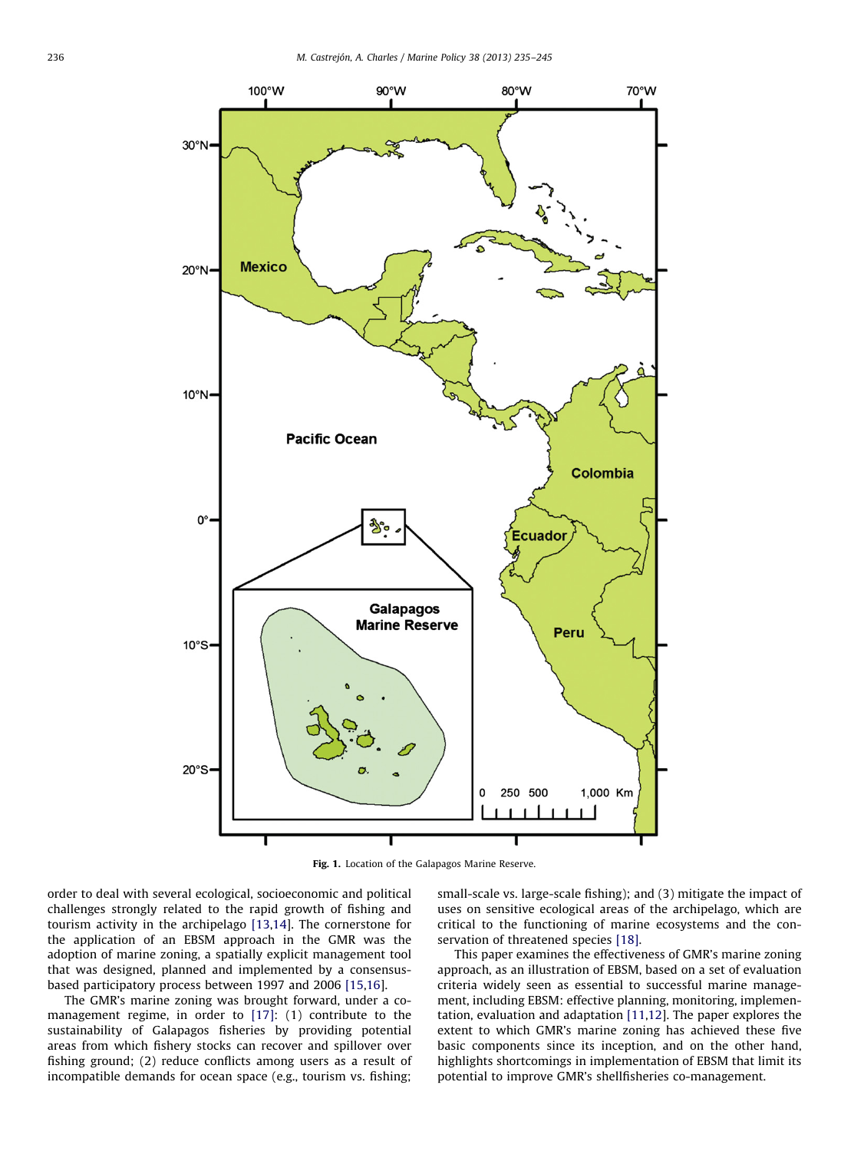<span id="page-1-0"></span>

Fig. 1. Location of the Galapagos Marine Reserve.

order to deal with several ecological, socioeconomic and political challenges strongly related to the rapid growth of fishing and tourism activity in the archipelago [\[13,14\]](#page-9-0). The cornerstone for the application of an EBSM approach in the GMR was the adoption of marine zoning, a spatially explicit management tool that was designed, planned and implemented by a consensusbased participatory process between 1997 and 2006 [\[15,16](#page-9-0)].

The GMR's marine zoning was brought forward, under a comanagement regime, in order to [\[17\]](#page-9-0): (1) contribute to the sustainability of Galapagos fisheries by providing potential areas from which fishery stocks can recover and spillover over fishing ground; (2) reduce conflicts among users as a result of incompatible demands for ocean space (e.g., tourism vs. fishing;

small-scale vs. large-scale fishing); and (3) mitigate the impact of uses on sensitive ecological areas of the archipelago, which are critical to the functioning of marine ecosystems and the conservation of threatened species [\[18\].](#page-9-0)

This paper examines the effectiveness of GMR's marine zoning approach, as an illustration of EBSM, based on a set of evaluation criteria widely seen as essential to successful marine management, including EBSM: effective planning, monitoring, implementation, evaluation and adaptation [\[11](#page-9-0),[12\]](#page-9-0). The paper explores the extent to which GMR's marine zoning has achieved these five basic components since its inception, and on the other hand, highlights shortcomings in implementation of EBSM that limit its potential to improve GMR's shellfisheries co-management.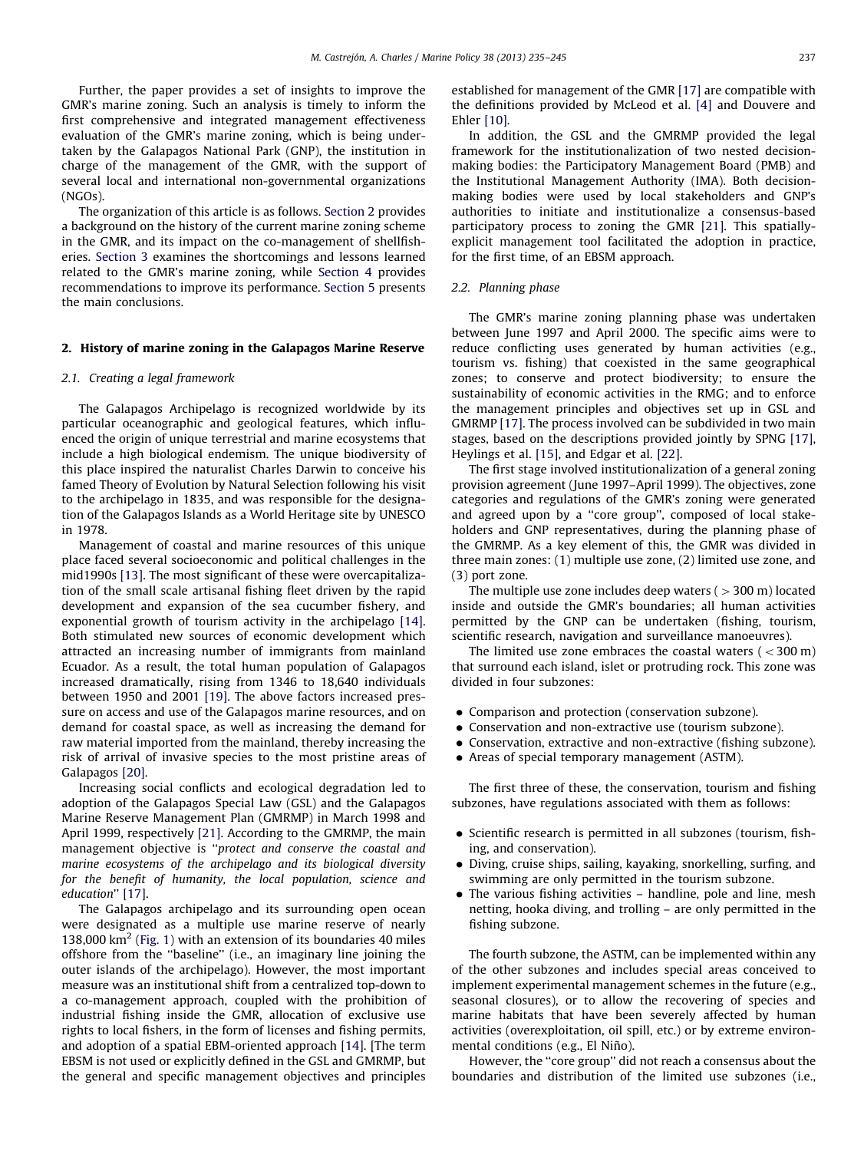<span id="page-2-0"></span>Further, the paper provides a set of insights to improve the GMR's marine zoning. Such an analysis is timely to inform the first comprehensive and integrated management effectiveness evaluation of the GMR's marine zoning, which is being undertaken by the Galapagos National Park (GNP), the institution in charge of the management of the GMR, with the support of several local and international non-governmental organizations (NGOs).

The organization of this article is as follows. Section 2 provides a background on the history of the current marine zoning scheme in the GMR, and its impact on the co-management of shellfisheries. [Section 3](#page-4-0) examines the shortcomings and lessons learned related to the GMR's marine zoning, while [Section 4](#page-6-0) provides recommendations to improve its performance. [Section 5](#page-7-0) presents the main conclusions.

#### 2. History of marine zoning in the Galapagos Marine Reserve

#### 2.1. Creating a legal framework

The Galapagos Archipelago is recognized worldwide by its particular oceanographic and geological features, which influenced the origin of unique terrestrial and marine ecosystems that include a high biological endemism. The unique biodiversity of this place inspired the naturalist Charles Darwin to conceive his famed Theory of Evolution by Natural Selection following his visit to the archipelago in 1835, and was responsible for the designation of the Galapagos Islands as a World Heritage site by UNESCO in 1978.

Management of coastal and marine resources of this unique place faced several socioeconomic and political challenges in the mid1990s [\[13\].](#page-9-0) The most significant of these were overcapitalization of the small scale artisanal fishing fleet driven by the rapid development and expansion of the sea cucumber fishery, and exponential growth of tourism activity in the archipelago [\[14\].](#page-9-0) Both stimulated new sources of economic development which attracted an increasing number of immigrants from mainland Ecuador. As a result, the total human population of Galapagos increased dramatically, rising from 1346 to 18,640 individuals between 1950 and 2001 [\[19\].](#page-9-0) The above factors increased pressure on access and use of the Galapagos marine resources, and on demand for coastal space, as well as increasing the demand for raw material imported from the mainland, thereby increasing the risk of arrival of invasive species to the most pristine areas of Galapagos [\[20\].](#page-9-0)

Increasing social conflicts and ecological degradation led to adoption of the Galapagos Special Law (GSL) and the Galapagos Marine Reserve Management Plan (GMRMP) in March 1998 and April 1999, respectively [\[21\]](#page-9-0). According to the GMRMP, the main management objective is ''protect and conserve the coastal and marine ecosystems of the archipelago and its biological diversity for the benefit of humanity, the local population, science and education'' [\[17\].](#page-9-0)

The Galapagos archipelago and its surrounding open ocean were designated as a multiple use marine reserve of nearly 138,000 km<sup>2</sup> ([Fig. 1](#page-1-0)) with an extension of its boundaries 40 miles offshore from the ''baseline'' (i.e., an imaginary line joining the outer islands of the archipelago). However, the most important measure was an institutional shift from a centralized top-down to a co-management approach, coupled with the prohibition of industrial fishing inside the GMR, allocation of exclusive use rights to local fishers, in the form of licenses and fishing permits, and adoption of a spatial EBM-oriented approach [\[14\].](#page-9-0) [The term EBSM is not used or explicitly defined in the GSL and GMRMP, but the general and specific management objectives and principles established for management of the GMR [\[17\]](#page-9-0) are compatible with the definitions provided by McLeod et al. [\[4\]](#page-9-0) and Douvere and Ehler [\[10\].](#page-9-0)

In addition, the GSL and the GMRMP provided the legal framework for the institutionalization of two nested decisionmaking bodies: the Participatory Management Board (PMB) and the Institutional Management Authority (IMA). Both decisionmaking bodies were used by local stakeholders and GNP's authorities to initiate and institutionalize a consensus-based participatory process to zoning the GMR [\[21\]](#page-9-0). This spatiallyexplicit management tool facilitated the adoption in practice, for the first time, of an EBSM approach.

#### 2.2. Planning phase

The GMR's marine zoning planning phase was undertaken between June 1997 and April 2000. The specific aims were to reduce conflicting uses generated by human activities (e.g., tourism vs. fishing) that coexisted in the same geographical zones; to conserve and protect biodiversity; to ensure the sustainability of economic activities in the RMG; and to enforce the management principles and objectives set up in GSL and GMRMP [\[17\]](#page-9-0). The process involved can be subdivided in two main stages, based on the descriptions provided jointly by SPNG [\[17\],](#page-9-0) Heylings et al. [\[15\]](#page-9-0), and Edgar et al. [\[22\].](#page-9-0)

The first stage involved institutionalization of a general zoning provision agreement (June 1997–April 1999). The objectives, zone categories and regulations of the GMR's zoning were generated and agreed upon by a ''core group'', composed of local stakeholders and GNP representatives, during the planning phase of the GMRMP. As a key element of this, the GMR was divided in three main zones: (1) multiple use zone, (2) limited use zone, and (3) port zone.

The multiple use zone includes deep waters  $(>300 \text{ m})$  located inside and outside the GMR's boundaries; all human activities permitted by the GNP can be undertaken (fishing, tourism, scientific research, navigation and surveillance manoeuvres).

The limited use zone embraces the coastal waters  $(< 300 \text{ m})$ that surround each island, islet or protruding rock. This zone was divided in four subzones:

- $\bullet$  Comparison and protection (conservation subzone).
- $\bullet$  Conservation and non-extractive use (tourism subzone).
- $\bullet$  Conservation, extractive and non-extractive (fishing subzone).
- $\bullet$  Areas of special temporary management (ASTM).

The first three of these, the conservation, tourism and fishing subzones, have regulations associated with them as follows:

- Scientific research is permitted in all subzones (tourism, fishing, and conservation).
- Diving, cruise ships, sailing, kayaking, snorkelling, surfing, and swimming are only permitted in the tourism subzone.
- The various fishing activities handline, pole and line, mesh netting, hooka diving, and trolling – are only permitted in the fishing subzone.

The fourth subzone, the ASTM, can be implemented within any of the other subzones and includes special areas conceived to implement experimental management schemes in the future (e.g., seasonal closures), or to allow the recovering of species and marine habitats that have been severely affected by human activities (overexploitation, oil spill, etc.) or by extreme environmental conditions (e.g., El Niño).

However, the "core group" did not reach a consensus about the boundaries and distribution of the limited use subzones (i.e.,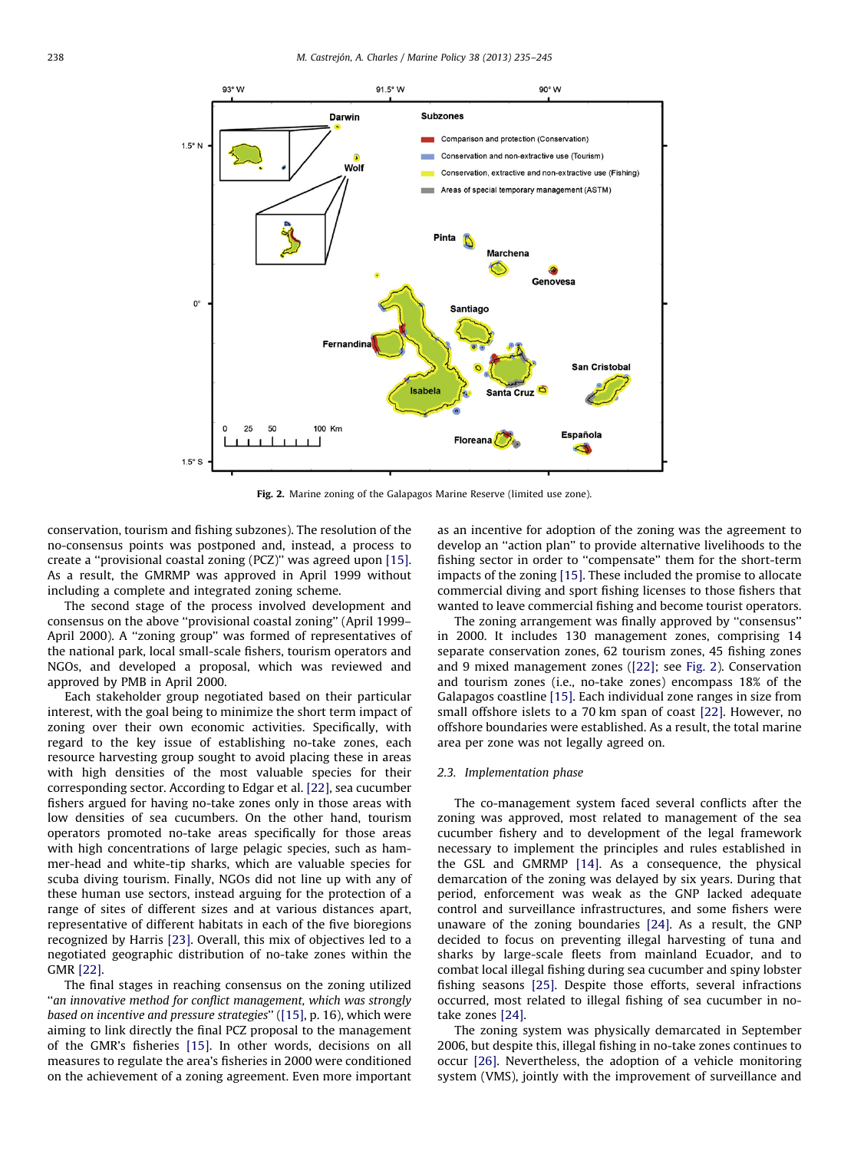

Fig. 2. Marine zoning of the Galapagos Marine Reserve (limited use zone).

conservation, tourism and fishing subzones). The resolution of the no-consensus points was postponed and, instead, a process to create a ''provisional coastal zoning (PCZ)'' was agreed upon [\[15\].](#page-9-0) As a result, the GMRMP was approved in April 1999 without including a complete and integrated zoning scheme.

The second stage of the process involved development and consensus on the above ''provisional coastal zoning'' (April 1999– April 2000). A ''zoning group'' was formed of representatives of the national park, local small-scale fishers, tourism operators and NGOs, and developed a proposal, which was reviewed and approved by PMB in April 2000.

Each stakeholder group negotiated based on their particular interest, with the goal being to minimize the short term impact of zoning over their own economic activities. Specifically, with regard to the key issue of establishing no-take zones, each resource harvesting group sought to avoid placing these in areas with high densities of the most valuable species for their corresponding sector. According to Edgar et al. [\[22\]](#page-9-0), sea cucumber fishers argued for having no-take zones only in those areas with low densities of sea cucumbers. On the other hand, tourism operators promoted no-take areas specifically for those areas with high concentrations of large pelagic species, such as hammer-head and white-tip sharks, which are valuable species for scuba diving tourism. Finally, NGOs did not line up with any of these human use sectors, instead arguing for the protection of a range of sites of different sizes and at various distances apart, representative of different habitats in each of the five bioregions recognized by Harris [\[23\]](#page-9-0). Overall, this mix of objectives led to a negotiated geographic distribution of no-take zones within the GMR [\[22\].](#page-9-0)

The final stages in reaching consensus on the zoning utilized ''an innovative method for conflict management, which was strongly based on incentive and pressure strategies'' ([\[15\],](#page-9-0) p. 16), which were aiming to link directly the final PCZ proposal to the management of the GMR's fisheries [\[15\]](#page-9-0). In other words, decisions on all measures to regulate the area's fisheries in 2000 were conditioned on the achievement of a zoning agreement. Even more important as an incentive for adoption of the zoning was the agreement to develop an ''action plan'' to provide alternative livelihoods to the fishing sector in order to ''compensate'' them for the short-term impacts of the zoning [\[15\].](#page-9-0) These included the promise to allocate commercial diving and sport fishing licenses to those fishers that wanted to leave commercial fishing and become tourist operators.

The zoning arrangement was finally approved by ''consensus'' in 2000. It includes 130 management zones, comprising 14 separate conservation zones, 62 tourism zones, 45 fishing zones and 9 mixed management zones ([\[22\];](#page-9-0) see Fig. 2). Conservation and tourism zones (i.e., no-take zones) encompass 18% of the Galapagos coastline [\[15\].](#page-9-0) Each individual zone ranges in size from small offshore islets to a 70 km span of coast [\[22\].](#page-9-0) However, no offshore boundaries were established. As a result, the total marine area per zone was not legally agreed on.

## 2.3. Implementation phase

The co-management system faced several conflicts after the zoning was approved, most related to management of the sea cucumber fishery and to development of the legal framework necessary to implement the principles and rules established in the GSL and GMRMP [\[14\]](#page-9-0). As a consequence, the physical demarcation of the zoning was delayed by six years. During that period, enforcement was weak as the GNP lacked adequate control and surveillance infrastructures, and some fishers were unaware of the zoning boundaries [\[24\].](#page-9-0) As a result, the GNP decided to focus on preventing illegal harvesting of tuna and sharks by large-scale fleets from mainland Ecuador, and to combat local illegal fishing during sea cucumber and spiny lobster fishing seasons [\[25\]](#page-9-0). Despite those efforts, several infractions occurred, most related to illegal fishing of sea cucumber in notake zones [\[24\]](#page-9-0).

The zoning system was physically demarcated in September 2006, but despite this, illegal fishing in no-take zones continues to occur [\[26\]](#page-9-0). Nevertheless, the adoption of a vehicle monitoring system (VMS), jointly with the improvement of surveillance and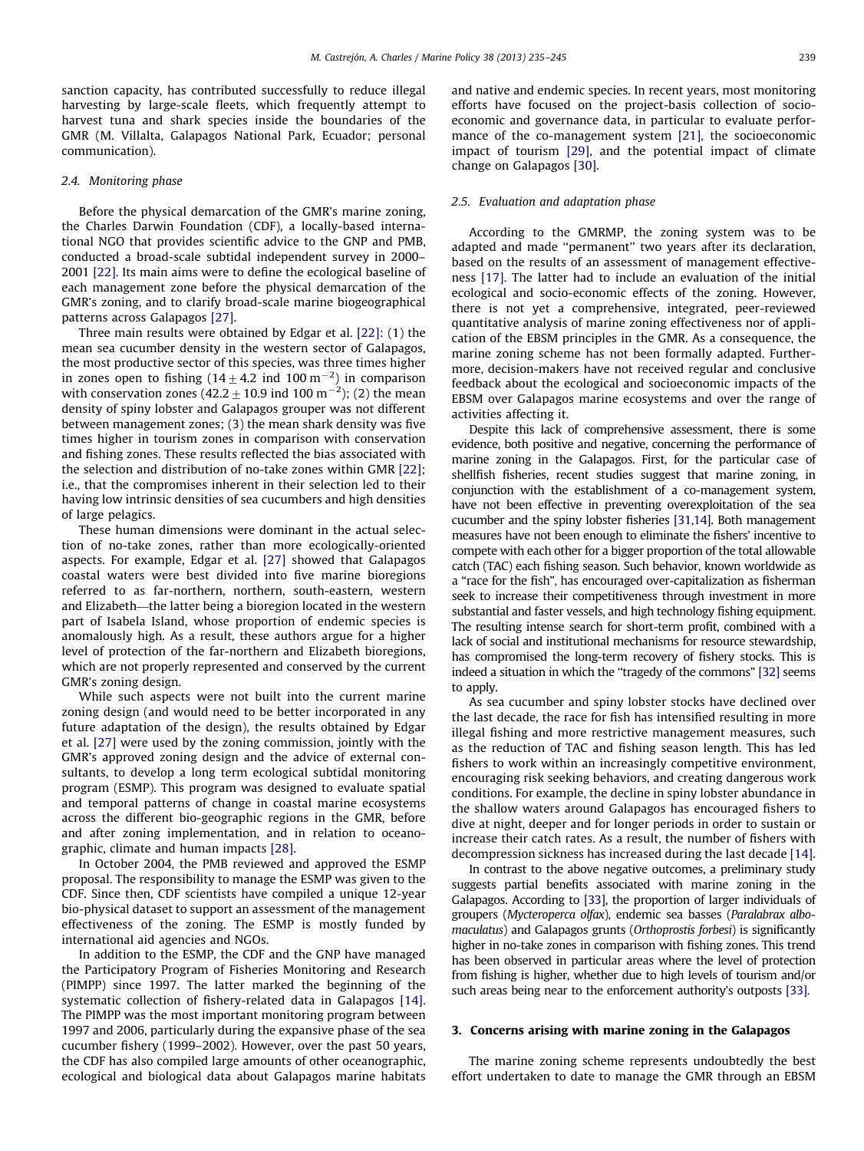<span id="page-4-0"></span>sanction capacity, has contributed successfully to reduce illegal harvesting by large-scale fleets, which frequently attempt to harvest tuna and shark species inside the boundaries of the GMR (M. Villalta, Galapagos National Park, Ecuador; personal communication).

#### 2.4. Monitoring phase

Before the physical demarcation of the GMR's marine zoning, the Charles Darwin Foundation (CDF), a locally-based international NGO that provides scientific advice to the GNP and PMB, conducted a broad-scale subtidal independent survey in 2000– 2001 [\[22\].](#page-9-0) Its main aims were to define the ecological baseline of each management zone before the physical demarcation of the GMR's zoning, and to clarify broad-scale marine biogeographical patterns across Galapagos [\[27\]](#page-9-0).

Three main results were obtained by Edgar et al. [\[22\]:](#page-9-0) (1) the mean sea cucumber density in the western sector of Galapagos, the most productive sector of this species, was three times higher in zones open to fishing (14  $\pm$  4.2 ind 100 m<sup>-2</sup>) in comparison with conservation zones (42.2  $\pm$  10.9 ind 100 m<sup>-2</sup>); (2) the mean density of spiny lobster and Galapagos grouper was not different between management zones; (3) the mean shark density was five times higher in tourism zones in comparison with conservation and fishing zones. These results reflected the bias associated with the selection and distribution of no-take zones within GMR [\[22\];](#page-9-0) i.e., that the compromises inherent in their selection led to their having low intrinsic densities of sea cucumbers and high densities of large pelagics.

These human dimensions were dominant in the actual selection of no-take zones, rather than more ecologically-oriented aspects. For example, Edgar et al. [\[27\]](#page-9-0) showed that Galapagos coastal waters were best divided into five marine bioregions referred to as far-northern, northern, south-eastern, western and Elizabeth—the latter being a bioregion located in the western part of Isabela Island, whose proportion of endemic species is anomalously high. As a result, these authors argue for a higher level of protection of the far-northern and Elizabeth bioregions, which are not properly represented and conserved by the current GMR's zoning design.

While such aspects were not built into the current marine zoning design (and would need to be better incorporated in any future adaptation of the design), the results obtained by Edgar et al. [\[27\]](#page-9-0) were used by the zoning commission, jointly with the GMR's approved zoning design and the advice of external consultants, to develop a long term ecological subtidal monitoring program (ESMP). This program was designed to evaluate spatial and temporal patterns of change in coastal marine ecosystems across the different bio-geographic regions in the GMR, before and after zoning implementation, and in relation to oceanographic, climate and human impacts [\[28\]](#page-10-0).

In October 2004, the PMB reviewed and approved the ESMP proposal. The responsibility to manage the ESMP was given to the CDF. Since then, CDF scientists have compiled a unique 12-year bio-physical dataset to support an assessment of the management effectiveness of the zoning. The ESMP is mostly funded by international aid agencies and NGOs.

In addition to the ESMP, the CDF and the GNP have managed the Participatory Program of Fisheries Monitoring and Research (PIMPP) since 1997. The latter marked the beginning of the systematic collection of fishery-related data in Galapagos [\[14\].](#page-9-0) The PIMPP was the most important monitoring program between 1997 and 2006, particularly during the expansive phase of the sea cucumber fishery (1999–2002). However, over the past 50 years, the CDF has also compiled large amounts of other oceanographic, ecological and biological data about Galapagos marine habitats and native and endemic species. In recent years, most monitoring efforts have focused on the project-basis collection of socioeconomic and governance data, in particular to evaluate performance of the co-management system [\[21\]](#page-9-0), the socioeconomic impact of tourism [\[29\],](#page-10-0) and the potential impact of climate change on Galapagos [\[30\]](#page-10-0).

#### 2.5. Evaluation and adaptation phase

According to the GMRMP, the zoning system was to be adapted and made ''permanent'' two years after its declaration, based on the results of an assessment of management effectiveness [\[17\].](#page-9-0) The latter had to include an evaluation of the initial ecological and socio-economic effects of the zoning. However, there is not yet a comprehensive, integrated, peer-reviewed quantitative analysis of marine zoning effectiveness nor of application of the EBSM principles in the GMR. As a consequence, the marine zoning scheme has not been formally adapted. Furthermore, decision-makers have not received regular and conclusive feedback about the ecological and socioeconomic impacts of the EBSM over Galapagos marine ecosystems and over the range of activities affecting it.

Despite this lack of comprehensive assessment, there is some evidence, both positive and negative, concerning the performance of marine zoning in the Galapagos. First, for the particular case of shellfish fisheries, recent studies suggest that marine zoning, in conjunction with the establishment of a co-management system, have not been effective in preventing overexploitation of the sea cucumber and the spiny lobster fisheries [\[31](#page-10-0)[,14](#page-9-0)]. Both management measures have not been enough to eliminate the fishers' incentive to compete with each other for a bigger proportion of the total allowable catch (TAC) each fishing season. Such behavior, known worldwide as a ''race for the fish'', has encouraged over-capitalization as fisherman seek to increase their competitiveness through investment in more substantial and faster vessels, and high technology fishing equipment. The resulting intense search for short-term profit, combined with a lack of social and institutional mechanisms for resource stewardship, has compromised the long-term recovery of fishery stocks. This is indeed a situation in which the "tragedy of the commons" [\[32\]](#page-10-0) seems to apply.

As sea cucumber and spiny lobster stocks have declined over the last decade, the race for fish has intensified resulting in more illegal fishing and more restrictive management measures, such as the reduction of TAC and fishing season length. This has led fishers to work within an increasingly competitive environment, encouraging risk seeking behaviors, and creating dangerous work conditions. For example, the decline in spiny lobster abundance in the shallow waters around Galapagos has encouraged fishers to dive at night, deeper and for longer periods in order to sustain or increase their catch rates. As a result, the number of fishers with decompression sickness has increased during the last decade [\[14\].](#page-9-0)

In contrast to the above negative outcomes, a preliminary study suggests partial benefits associated with marine zoning in the Galapagos. According to [\[33\]](#page-10-0), the proportion of larger individuals of groupers (Mycteroperca olfax), endemic sea basses (Paralabrax albomaculatus) and Galapagos grunts (Orthoprostis forbesi) is significantly higher in no-take zones in comparison with fishing zones. This trend has been observed in particular areas where the level of protection from fishing is higher, whether due to high levels of tourism and/or such areas being near to the enforcement authority's outposts [\[33\].](#page-10-0)

#### 3. Concerns arising with marine zoning in the Galapagos

The marine zoning scheme represents undoubtedly the best effort undertaken to date to manage the GMR through an EBSM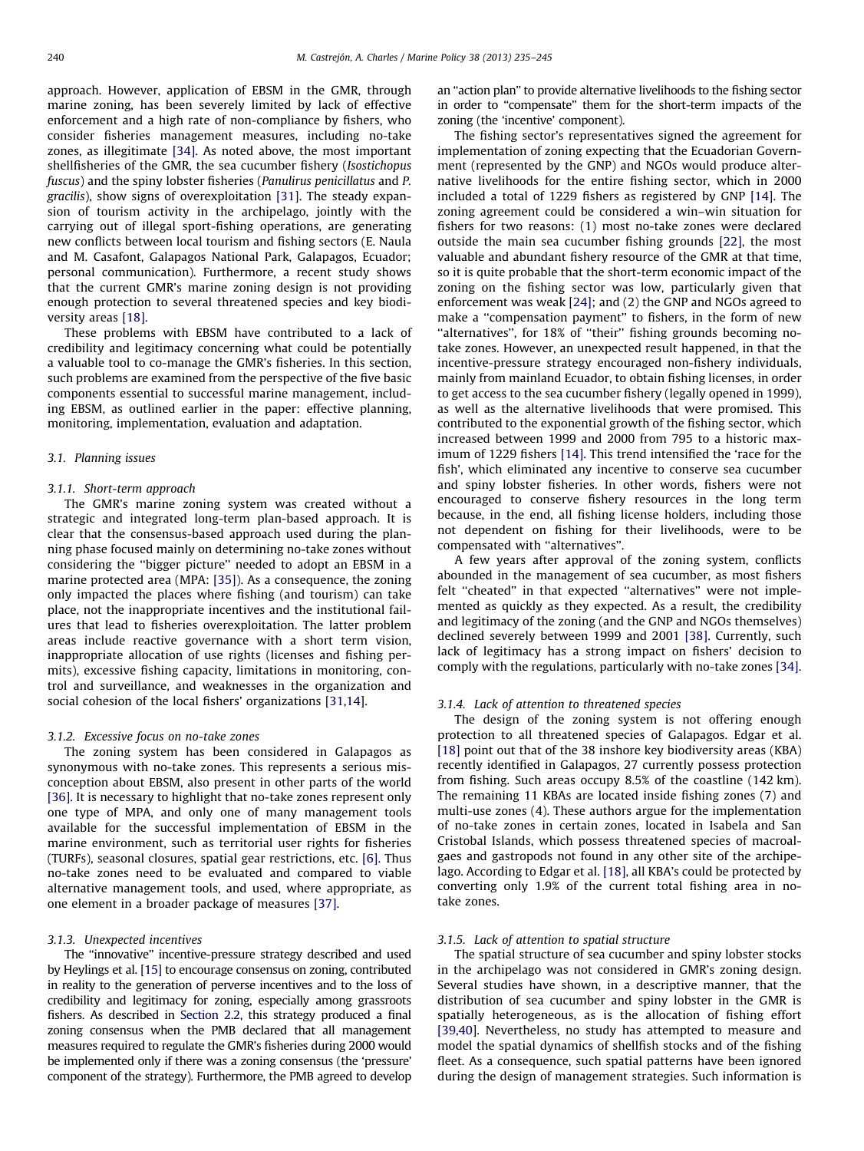approach. However, application of EBSM in the GMR, through marine zoning, has been severely limited by lack of effective enforcement and a high rate of non-compliance by fishers, who consider fisheries management measures, including no-take zones, as illegitimate [\[34\].](#page-10-0) As noted above, the most important shellfisheries of the GMR, the sea cucumber fishery (Isostichopus fuscus) and the spiny lobster fisheries (Panulirus penicillatus and P. gracilis), show signs of overexploitation [\[31\]](#page-10-0). The steady expansion of tourism activity in the archipelago, jointly with the carrying out of illegal sport-fishing operations, are generating new conflicts between local tourism and fishing sectors (E. Naula and M. Casafont, Galapagos National Park, Galapagos, Ecuador; personal communication). Furthermore, a recent study shows that the current GMR's marine zoning design is not providing enough protection to several threatened species and key biodiversity areas [\[18\]](#page-9-0).

These problems with EBSM have contributed to a lack of credibility and legitimacy concerning what could be potentially a valuable tool to co-manage the GMR's fisheries. In this section, such problems are examined from the perspective of the five basic components essential to successful marine management, including EBSM, as outlined earlier in the paper: effective planning, monitoring, implementation, evaluation and adaptation.

#### 3.1. Planning issues

#### 3.1.1. Short-term approach

The GMR's marine zoning system was created without a strategic and integrated long-term plan-based approach. It is clear that the consensus-based approach used during the planning phase focused mainly on determining no-take zones without considering the ''bigger picture'' needed to adopt an EBSM in a marine protected area (MPA: [\[35\]\)](#page-10-0). As a consequence, the zoning only impacted the places where fishing (and tourism) can take place, not the inappropriate incentives and the institutional failures that lead to fisheries overexploitation. The latter problem areas include reactive governance with a short term vision, inappropriate allocation of use rights (licenses and fishing permits), excessive fishing capacity, limitations in monitoring, control and surveillance, and weaknesses in the organization and social cohesion of the local fishers' organizations [\[31,](#page-10-0)[14\]](#page-9-0).

### 3.1.2. Excessive focus on no-take zones

The zoning system has been considered in Galapagos as synonymous with no-take zones. This represents a serious misconception about EBSM, also present in other parts of the world [\[36\]](#page-10-0). It is necessary to highlight that no-take zones represent only one type of MPA, and only one of many management tools available for the successful implementation of EBSM in the marine environment, such as territorial user rights for fisheries (TURFs), seasonal closures, spatial gear restrictions, etc. [\[6\].](#page-9-0) Thus no-take zones need to be evaluated and compared to viable alternative management tools, and used, where appropriate, as one element in a broader package of measures [\[37\]](#page-10-0).

#### 3.1.3. Unexpected incentives

The ''innovative'' incentive-pressure strategy described and used by Heylings et al. [\[15\]](#page-9-0) to encourage consensus on zoning, contributed in reality to the generation of perverse incentives and to the loss of credibility and legitimacy for zoning, especially among grassroots fishers. As described in [Section 2.2](#page-2-0), this strategy produced a final zoning consensus when the PMB declared that all management measures required to regulate the GMR's fisheries during 2000 would be implemented only if there was a zoning consensus (the 'pressure' component of the strategy). Furthermore, the PMB agreed to develop an ''action plan'' to provide alternative livelihoods to the fishing sector in order to ''compensate'' them for the short-term impacts of the zoning (the 'incentive' component).

The fishing sector's representatives signed the agreement for implementation of zoning expecting that the Ecuadorian Government (represented by the GNP) and NGOs would produce alternative livelihoods for the entire fishing sector, which in 2000 included a total of 1229 fishers as registered by GNP [\[14\]](#page-9-0). The zoning agreement could be considered a win–win situation for fishers for two reasons: (1) most no-take zones were declared outside the main sea cucumber fishing grounds [\[22\],](#page-9-0) the most valuable and abundant fishery resource of the GMR at that time, so it is quite probable that the short-term economic impact of the zoning on the fishing sector was low, particularly given that enforcement was weak [\[24\]](#page-9-0); and (2) the GNP and NGOs agreed to make a ''compensation payment'' to fishers, in the form of new "alternatives", for 18% of "their" fishing grounds becoming notake zones. However, an unexpected result happened, in that the incentive-pressure strategy encouraged non-fishery individuals, mainly from mainland Ecuador, to obtain fishing licenses, in order to get access to the sea cucumber fishery (legally opened in 1999), as well as the alternative livelihoods that were promised. This contributed to the exponential growth of the fishing sector, which increased between 1999 and 2000 from 795 to a historic maximum of 1229 fishers [\[14\]](#page-9-0). This trend intensified the 'race for the fish', which eliminated any incentive to conserve sea cucumber and spiny lobster fisheries. In other words, fishers were not encouraged to conserve fishery resources in the long term because, in the end, all fishing license holders, including those not dependent on fishing for their livelihoods, were to be compensated with ''alternatives''.

A few years after approval of the zoning system, conflicts abounded in the management of sea cucumber, as most fishers felt ''cheated'' in that expected ''alternatives'' were not implemented as quickly as they expected. As a result, the credibility and legitimacy of the zoning (and the GNP and NGOs themselves) declined severely between 1999 and 2001 [\[38\]](#page-10-0). Currently, such lack of legitimacy has a strong impact on fishers' decision to comply with the regulations, particularly with no-take zones [\[34\].](#page-10-0)

#### 3.1.4. Lack of attention to threatened species

The design of the zoning system is not offering enough protection to all threatened species of Galapagos. Edgar et al. [\[18\]](#page-9-0) point out that of the 38 inshore key biodiversity areas (KBA) recently identified in Galapagos, 27 currently possess protection from fishing. Such areas occupy 8.5% of the coastline (142 km). The remaining 11 KBAs are located inside fishing zones (7) and multi-use zones (4). These authors argue for the implementation of no-take zones in certain zones, located in Isabela and San Cristobal Islands, which possess threatened species of macroalgaes and gastropods not found in any other site of the archipelago. According to Edgar et al. [\[18\],](#page-9-0) all KBA's could be protected by converting only 1.9% of the current total fishing area in notake zones.

## 3.1.5. Lack of attention to spatial structure

The spatial structure of sea cucumber and spiny lobster stocks in the archipelago was not considered in GMR's zoning design. Several studies have shown, in a descriptive manner, that the distribution of sea cucumber and spiny lobster in the GMR is spatially heterogeneous, as is the allocation of fishing effort [\[39,40\]](#page-10-0). Nevertheless, no study has attempted to measure and model the spatial dynamics of shellfish stocks and of the fishing fleet. As a consequence, such spatial patterns have been ignored during the design of management strategies. Such information is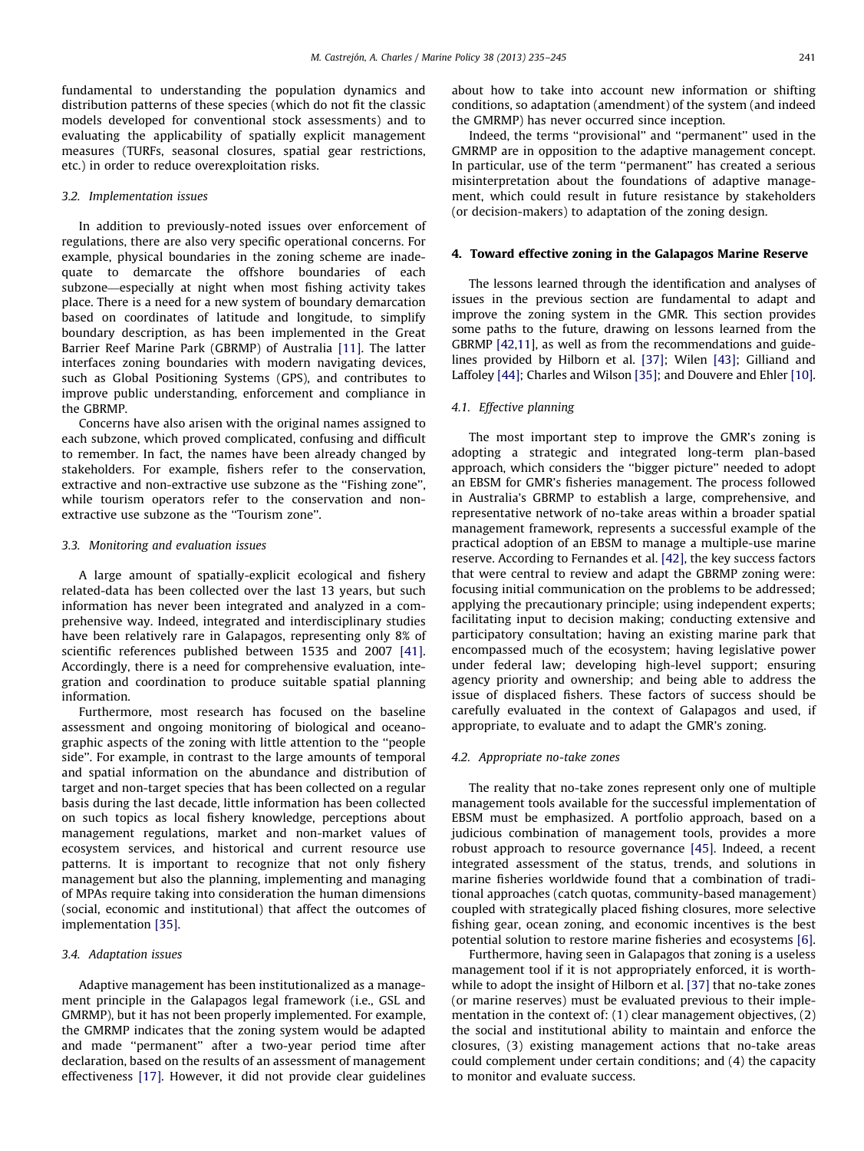<span id="page-6-0"></span>fundamental to understanding the population dynamics and distribution patterns of these species (which do not fit the classic models developed for conventional stock assessments) and to evaluating the applicability of spatially explicit management measures (TURFs, seasonal closures, spatial gear restrictions, etc.) in order to reduce overexploitation risks.

#### 3.2. Implementation issues

In addition to previously-noted issues over enforcement of regulations, there are also very specific operational concerns. For example, physical boundaries in the zoning scheme are inadequate to demarcate the offshore boundaries of each subzone—especially at night when most fishing activity takes place. There is a need for a new system of boundary demarcation based on coordinates of latitude and longitude, to simplify boundary description, as has been implemented in the Great Barrier Reef Marine Park (GBRMP) of Australia [\[11\].](#page-9-0) The latter interfaces zoning boundaries with modern navigating devices, such as Global Positioning Systems (GPS), and contributes to improve public understanding, enforcement and compliance in the GBRMP.

Concerns have also arisen with the original names assigned to each subzone, which proved complicated, confusing and difficult to remember. In fact, the names have been already changed by stakeholders. For example, fishers refer to the conservation, extractive and non-extractive use subzone as the "Fishing zone", while tourism operators refer to the conservation and nonextractive use subzone as the "Tourism zone".

# 3.3. Monitoring and evaluation issues

A large amount of spatially-explicit ecological and fishery related-data has been collected over the last 13 years, but such information has never been integrated and analyzed in a comprehensive way. Indeed, integrated and interdisciplinary studies have been relatively rare in Galapagos, representing only 8% of scientific references published between 1535 and 2007 [\[41\].](#page-10-0) Accordingly, there is a need for comprehensive evaluation, integration and coordination to produce suitable spatial planning information.

Furthermore, most research has focused on the baseline assessment and ongoing monitoring of biological and oceanographic aspects of the zoning with little attention to the ''people side''. For example, in contrast to the large amounts of temporal and spatial information on the abundance and distribution of target and non-target species that has been collected on a regular basis during the last decade, little information has been collected on such topics as local fishery knowledge, perceptions about management regulations, market and non-market values of ecosystem services, and historical and current resource use patterns. It is important to recognize that not only fishery management but also the planning, implementing and managing of MPAs require taking into consideration the human dimensions (social, economic and institutional) that affect the outcomes of implementation [\[35\].](#page-10-0)

#### 3.4. Adaptation issues

Adaptive management has been institutionalized as a management principle in the Galapagos legal framework (i.e., GSL and GMRMP), but it has not been properly implemented. For example, the GMRMP indicates that the zoning system would be adapted and made ''permanent'' after a two-year period time after declaration, based on the results of an assessment of management effectiveness [\[17\]](#page-9-0). However, it did not provide clear guidelines about how to take into account new information or shifting conditions, so adaptation (amendment) of the system (and indeed the GMRMP) has never occurred since inception.

Indeed, the terms ''provisional'' and ''permanent'' used in the GMRMP are in opposition to the adaptive management concept. In particular, use of the term ''permanent'' has created a serious misinterpretation about the foundations of adaptive management, which could result in future resistance by stakeholders (or decision-makers) to adaptation of the zoning design.

#### 4. Toward effective zoning in the Galapagos Marine Reserve

The lessons learned through the identification and analyses of issues in the previous section are fundamental to adapt and improve the zoning system in the GMR. This section provides some paths to the future, drawing on lessons learned from the GBRMP [\[42,](#page-10-0)[11](#page-9-0)], as well as from the recommendations and guidelines provided by Hilborn et al. [\[37\];](#page-10-0) Wilen [\[43\]](#page-10-0); Gilliand and Laffoley [\[44\]](#page-10-0); Charles and Wilson [\[35\]](#page-10-0); and Douvere and Ehler [\[10\].](#page-9-0)

# 4.1. Effective planning

The most important step to improve the GMR's zoning is adopting a strategic and integrated long-term plan-based approach, which considers the ''bigger picture'' needed to adopt an EBSM for GMR's fisheries management. The process followed in Australia's GBRMP to establish a large, comprehensive, and representative network of no-take areas within a broader spatial management framework, represents a successful example of the practical adoption of an EBSM to manage a multiple-use marine reserve. According to Fernandes et al. [\[42\],](#page-10-0) the key success factors that were central to review and adapt the GBRMP zoning were: focusing initial communication on the problems to be addressed; applying the precautionary principle; using independent experts; facilitating input to decision making; conducting extensive and participatory consultation; having an existing marine park that encompassed much of the ecosystem; having legislative power under federal law; developing high-level support; ensuring agency priority and ownership; and being able to address the issue of displaced fishers. These factors of success should be carefully evaluated in the context of Galapagos and used, if appropriate, to evaluate and to adapt the GMR's zoning.

#### 4.2. Appropriate no-take zones

The reality that no-take zones represent only one of multiple management tools available for the successful implementation of EBSM must be emphasized. A portfolio approach, based on a judicious combination of management tools, provides a more robust approach to resource governance [\[45\]](#page-10-0). Indeed, a recent integrated assessment of the status, trends, and solutions in marine fisheries worldwide found that a combination of traditional approaches (catch quotas, community-based management) coupled with strategically placed fishing closures, more selective fishing gear, ocean zoning, and economic incentives is the best potential solution to restore marine fisheries and ecosystems [\[6\].](#page-9-0)

Furthermore, having seen in Galapagos that zoning is a useless management tool if it is not appropriately enforced, it is worthwhile to adopt the insight of Hilborn et al. [\[37\]](#page-10-0) that no-take zones (or marine reserves) must be evaluated previous to their implementation in the context of: (1) clear management objectives, (2) the social and institutional ability to maintain and enforce the closures, (3) existing management actions that no-take areas could complement under certain conditions; and (4) the capacity to monitor and evaluate success.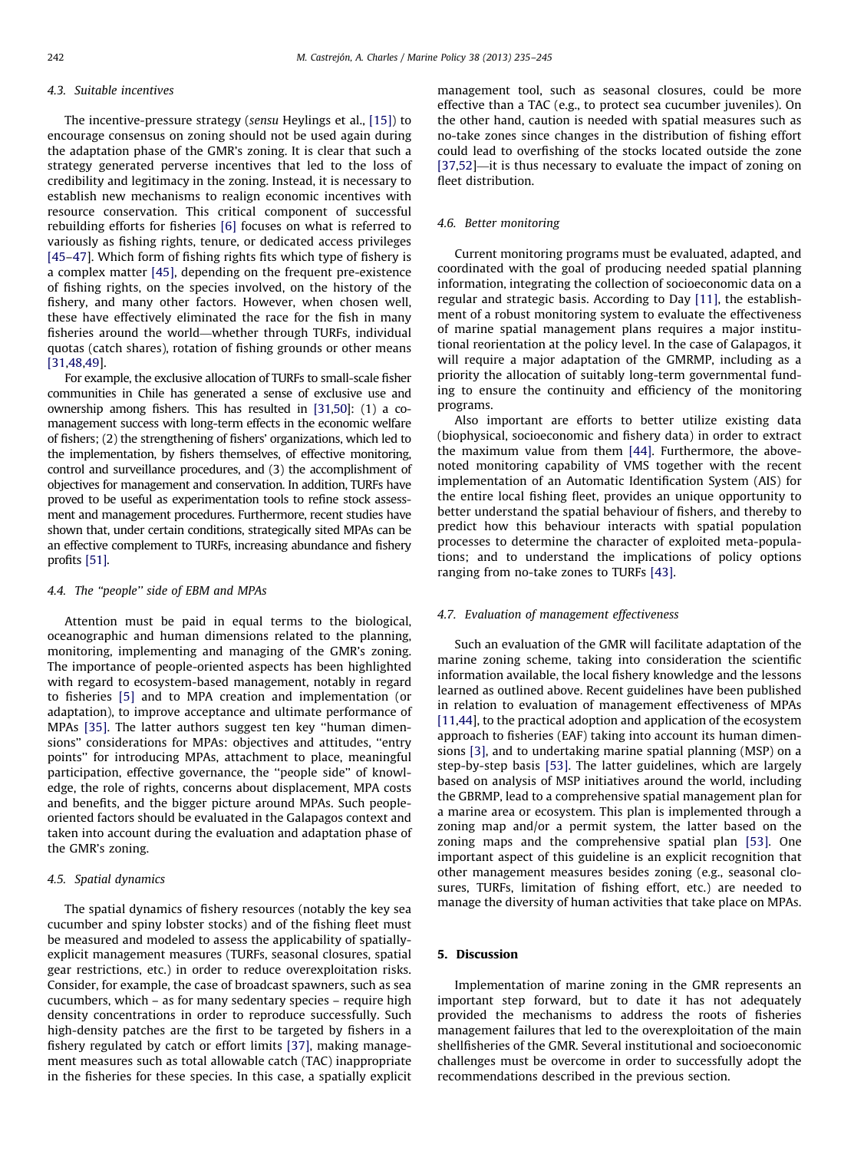#### <span id="page-7-0"></span>4.3. Suitable incentives

The incentive-pressure strategy (sensu Heylings et al., [\[15\]](#page-9-0)) to encourage consensus on zoning should not be used again during the adaptation phase of the GMR's zoning. It is clear that such a strategy generated perverse incentives that led to the loss of credibility and legitimacy in the zoning. Instead, it is necessary to establish new mechanisms to realign economic incentives with resource conservation. This critical component of successful rebuilding efforts for fisheries [\[6\]](#page-9-0) focuses on what is referred to variously as fishing rights, tenure, or dedicated access privileges [\[45–47\]](#page-10-0). Which form of fishing rights fits which type of fishery is a complex matter [\[45\]](#page-10-0), depending on the frequent pre-existence of fishing rights, on the species involved, on the history of the fishery, and many other factors. However, when chosen well, these have effectively eliminated the race for the fish in many fisheries around the world—whether through TURFs, individual quotas (catch shares), rotation of fishing grounds or other means [\[31,48,49](#page-10-0)].

For example, the exclusive allocation of TURFs to small-scale fisher communities in Chile has generated a sense of exclusive use and ownership among fishers. This has resulted in [\[31,50](#page-10-0)]: (1) a comanagement success with long-term effects in the economic welfare of fishers; (2) the strengthening of fishers' organizations, which led to the implementation, by fishers themselves, of effective monitoring, control and surveillance procedures, and (3) the accomplishment of objectives for management and conservation. In addition, TURFs have proved to be useful as experimentation tools to refine stock assessment and management procedures. Furthermore, recent studies have shown that, under certain conditions, strategically sited MPAs can be an effective complement to TURFs, increasing abundance and fishery profits [\[51\].](#page-10-0)

#### 4.4. The ''people'' side of EBM and MPAs

Attention must be paid in equal terms to the biological, oceanographic and human dimensions related to the planning, monitoring, implementing and managing of the GMR's zoning. The importance of people-oriented aspects has been highlighted with regard to ecosystem-based management, notably in regard to fisheries [\[5\]](#page-9-0) and to MPA creation and implementation (or adaptation), to improve acceptance and ultimate performance of MPAs [\[35\].](#page-10-0) The latter authors suggest ten key ''human dimensions'' considerations for MPAs: objectives and attitudes, ''entry points'' for introducing MPAs, attachment to place, meaningful participation, effective governance, the ''people side'' of knowledge, the role of rights, concerns about displacement, MPA costs and benefits, and the bigger picture around MPAs. Such peopleoriented factors should be evaluated in the Galapagos context and taken into account during the evaluation and adaptation phase of the GMR's zoning.

#### 4.5. Spatial dynamics

The spatial dynamics of fishery resources (notably the key sea cucumber and spiny lobster stocks) and of the fishing fleet must be measured and modeled to assess the applicability of spatiallyexplicit management measures (TURFs, seasonal closures, spatial gear restrictions, etc.) in order to reduce overexploitation risks. Consider, for example, the case of broadcast spawners, such as sea cucumbers, which – as for many sedentary species – require high density concentrations in order to reproduce successfully. Such high-density patches are the first to be targeted by fishers in a fishery regulated by catch or effort limits [\[37\],](#page-10-0) making management measures such as total allowable catch (TAC) inappropriate in the fisheries for these species. In this case, a spatially explicit management tool, such as seasonal closures, could be more effective than a TAC (e.g., to protect sea cucumber juveniles). On the other hand, caution is needed with spatial measures such as no-take zones since changes in the distribution of fishing effort could lead to overfishing of the stocks located outside the zone [\[37,52\]](#page-10-0)—it is thus necessary to evaluate the impact of zoning on fleet distribution.

### 4.6. Better monitoring

Current monitoring programs must be evaluated, adapted, and coordinated with the goal of producing needed spatial planning information, integrating the collection of socioeconomic data on a regular and strategic basis. According to Day [\[11\]](#page-9-0), the establishment of a robust monitoring system to evaluate the effectiveness of marine spatial management plans requires a major institutional reorientation at the policy level. In the case of Galapagos, it will require a major adaptation of the GMRMP, including as a priority the allocation of suitably long-term governmental funding to ensure the continuity and efficiency of the monitoring programs.

Also important are efforts to better utilize existing data (biophysical, socioeconomic and fishery data) in order to extract the maximum value from them [\[44\]](#page-10-0). Furthermore, the abovenoted monitoring capability of VMS together with the recent implementation of an Automatic Identification System (AIS) for the entire local fishing fleet, provides an unique opportunity to better understand the spatial behaviour of fishers, and thereby to predict how this behaviour interacts with spatial population processes to determine the character of exploited meta-populations; and to understand the implications of policy options ranging from no-take zones to TURFs [\[43\]](#page-10-0).

#### 4.7. Evaluation of management effectiveness

Such an evaluation of the GMR will facilitate adaptation of the marine zoning scheme, taking into consideration the scientific information available, the local fishery knowledge and the lessons learned as outlined above. Recent guidelines have been published in relation to evaluation of management effectiveness of MPAs [\[11](#page-9-0)[,44\]](#page-10-0), to the practical adoption and application of the ecosystem approach to fisheries (EAF) taking into account its human dimensions [\[3\],](#page-9-0) and to undertaking marine spatial planning (MSP) on a step-by-step basis [\[53\].](#page-10-0) The latter guidelines, which are largely based on analysis of MSP initiatives around the world, including the GBRMP, lead to a comprehensive spatial management plan for a marine area or ecosystem. This plan is implemented through a zoning map and/or a permit system, the latter based on the zoning maps and the comprehensive spatial plan [\[53\].](#page-10-0) One important aspect of this guideline is an explicit recognition that other management measures besides zoning (e.g., seasonal closures, TURFs, limitation of fishing effort, etc.) are needed to manage the diversity of human activities that take place on MPAs.

#### 5. Discussion

Implementation of marine zoning in the GMR represents an important step forward, but to date it has not adequately provided the mechanisms to address the roots of fisheries management failures that led to the overexploitation of the main shellfisheries of the GMR. Several institutional and socioeconomic challenges must be overcome in order to successfully adopt the recommendations described in the previous section.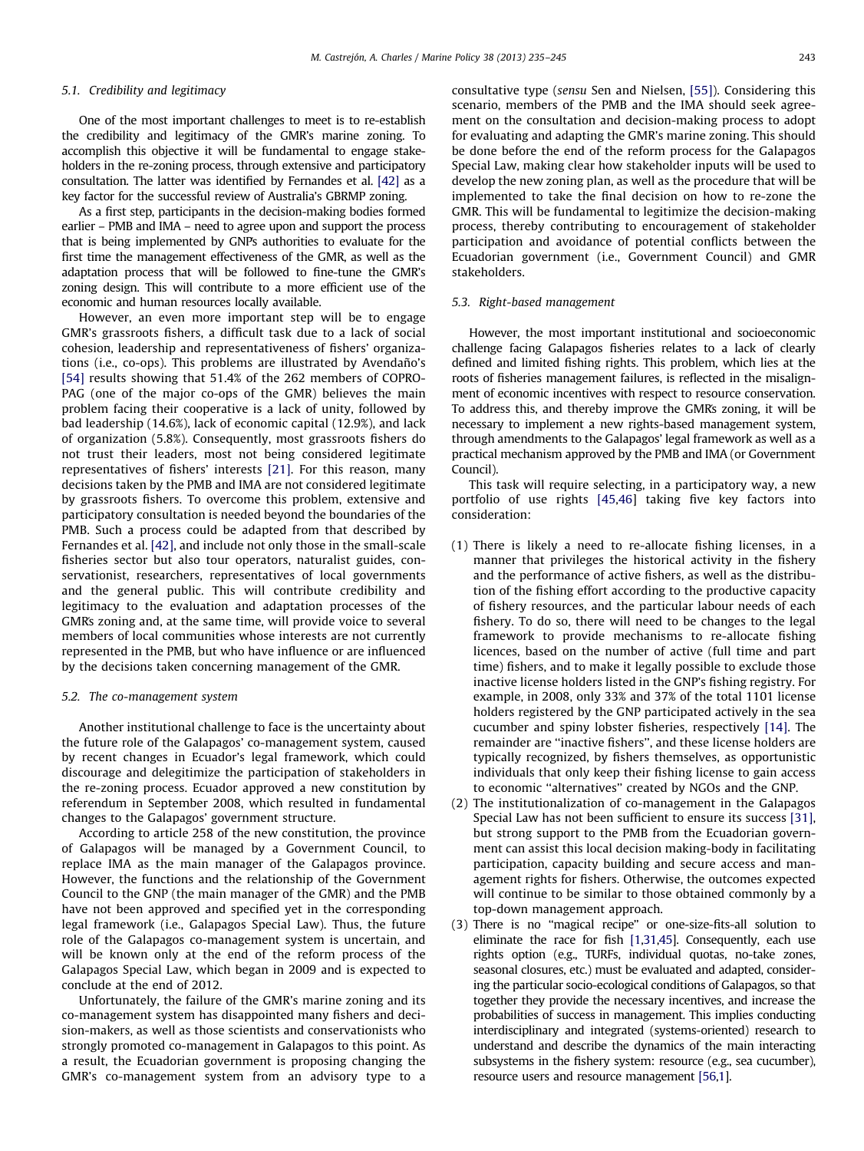#### 5.1. Credibility and legitimacy

One of the most important challenges to meet is to re-establish the credibility and legitimacy of the GMR's marine zoning. To accomplish this objective it will be fundamental to engage stakeholders in the re-zoning process, through extensive and participatory consultation. The latter was identified by Fernandes et al. [\[42\]](#page-10-0) as a key factor for the successful review of Australia's GBRMP zoning.

As a first step, participants in the decision-making bodies formed earlier – PMB and IMA – need to agree upon and support the process that is being implemented by GNPs authorities to evaluate for the first time the management effectiveness of the GMR, as well as the adaptation process that will be followed to fine-tune the GMR's zoning design. This will contribute to a more efficient use of the economic and human resources locally available.

However, an even more important step will be to engage GMR's grassroots fishers, a difficult task due to a lack of social cohesion, leadership and representativeness of fishers' organizations (*i.e., co-ops*). This problems are illustrated by Avendaño's [\[54\]](#page-10-0) results showing that 51.4% of the 262 members of COPRO-PAG (one of the major co-ops of the GMR) believes the main problem facing their cooperative is a lack of unity, followed by bad leadership (14.6%), lack of economic capital (12.9%), and lack of organization (5.8%). Consequently, most grassroots fishers do not trust their leaders, most not being considered legitimate representatives of fishers' interests [\[21\]](#page-9-0). For this reason, many decisions taken by the PMB and IMA are not considered legitimate by grassroots fishers. To overcome this problem, extensive and participatory consultation is needed beyond the boundaries of the PMB. Such a process could be adapted from that described by Fernandes et al. [\[42\],](#page-10-0) and include not only those in the small-scale fisheries sector but also tour operators, naturalist guides, conservationist, researchers, representatives of local governments and the general public. This will contribute credibility and legitimacy to the evaluation and adaptation processes of the GMR's zoning and, at the same time, will provide voice to several members of local communities whose interests are not currently represented in the PMB, but who have influence or are influenced by the decisions taken concerning management of the GMR.

#### 5.2. The co-management system

Another institutional challenge to face is the uncertainty about the future role of the Galapagos' co-management system, caused by recent changes in Ecuador's legal framework, which could discourage and delegitimize the participation of stakeholders in the re-zoning process. Ecuador approved a new constitution by referendum in September 2008, which resulted in fundamental changes to the Galapagos' government structure.

According to article 258 of the new constitution, the province of Galapagos will be managed by a Government Council, to replace IMA as the main manager of the Galapagos province. However, the functions and the relationship of the Government Council to the GNP (the main manager of the GMR) and the PMB have not been approved and specified yet in the corresponding legal framework (i.e., Galapagos Special Law). Thus, the future role of the Galapagos co-management system is uncertain, and will be known only at the end of the reform process of the Galapagos Special Law, which began in 2009 and is expected to conclude at the end of 2012.

Unfortunately, the failure of the GMR's marine zoning and its co-management system has disappointed many fishers and decision-makers, as well as those scientists and conservationists who strongly promoted co-management in Galapagos to this point. As a result, the Ecuadorian government is proposing changing the GMR's co-management system from an advisory type to a consultative type (sensu Sen and Nielsen, [\[55\]](#page-10-0)). Considering this scenario, members of the PMB and the IMA should seek agreement on the consultation and decision-making process to adopt for evaluating and adapting the GMR's marine zoning. This should be done before the end of the reform process for the Galapagos Special Law, making clear how stakeholder inputs will be used to develop the new zoning plan, as well as the procedure that will be implemented to take the final decision on how to re-zone the GMR. This will be fundamental to legitimize the decision-making process, thereby contributing to encouragement of stakeholder participation and avoidance of potential conflicts between the Ecuadorian government (i.e., Government Council) and GMR stakeholders.

#### 5.3. Right-based management

However, the most important institutional and socioeconomic challenge facing Galapagos fisheries relates to a lack of clearly defined and limited fishing rights. This problem, which lies at the roots of fisheries management failures, is reflected in the misalignment of economic incentives with respect to resource conservation. To address this, and thereby improve the GMR's zoning, it will be necessary to implement a new rights-based management system, through amendments to the Galapagos' legal framework as well as a practical mechanism approved by the PMB and IMA (or Government Council).

This task will require selecting, in a participatory way, a new portfolio of use rights [\[45,46](#page-10-0)] taking five key factors into consideration:

- (1) There is likely a need to re-allocate fishing licenses, in a manner that privileges the historical activity in the fishery and the performance of active fishers, as well as the distribution of the fishing effort according to the productive capacity of fishery resources, and the particular labour needs of each fishery. To do so, there will need to be changes to the legal framework to provide mechanisms to re-allocate fishing licences, based on the number of active (full time and part time) fishers, and to make it legally possible to exclude those inactive license holders listed in the GNP's fishing registry. For example, in 2008, only 33% and 37% of the total 1101 license holders registered by the GNP participated actively in the sea cucumber and spiny lobster fisheries, respectively [\[14\]](#page-9-0). The remainder are ''inactive fishers'', and these license holders are typically recognized, by fishers themselves, as opportunistic individuals that only keep their fishing license to gain access to economic ''alternatives'' created by NGOs and the GNP.
- (2) The institutionalization of co-management in the Galapagos Special Law has not been sufficient to ensure its success [\[31\],](#page-10-0) but strong support to the PMB from the Ecuadorian government can assist this local decision making-body in facilitating participation, capacity building and secure access and management rights for fishers. Otherwise, the outcomes expected will continue to be similar to those obtained commonly by a top-down management approach.
- (3) There is no ''magical recipe'' or one-size-fits-all solution to eliminate the race for fish [\[1,](#page-9-0)[31,45\]](#page-10-0). Consequently, each use rights option (e.g., TURFs, individual quotas, no-take zones, seasonal closures, etc.) must be evaluated and adapted, considering the particular socio-ecological conditions of Galapagos, so that together they provide the necessary incentives, and increase the probabilities of success in management. This implies conducting interdisciplinary and integrated (systems-oriented) research to understand and describe the dynamics of the main interacting subsystems in the fishery system: resource (e.g., sea cucumber), resource users and resource management [\[56](#page-10-0)[,1\]](#page-9-0).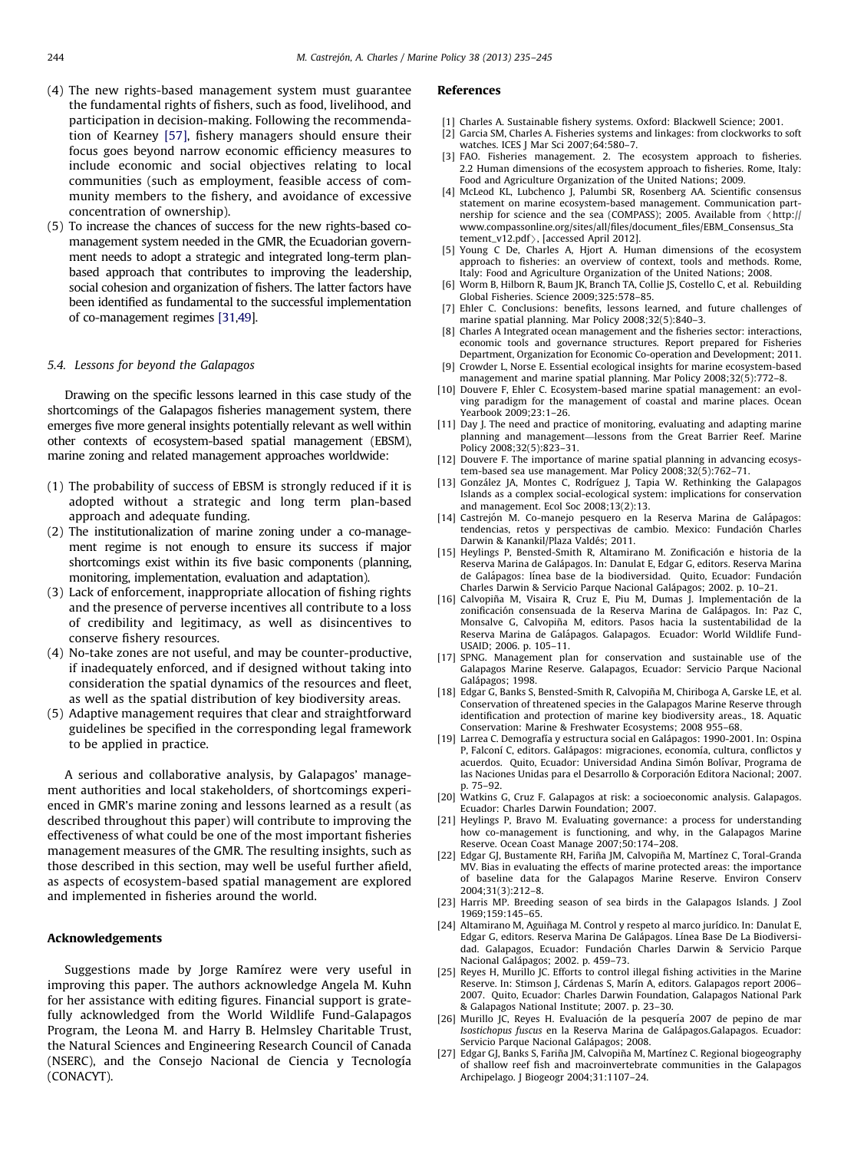- <span id="page-9-0"></span>(4) The new rights-based management system must guarantee the fundamental rights of fishers, such as food, livelihood, and participation in decision-making. Following the recommendation of Kearney [\[57\]](#page-10-0), fishery managers should ensure their focus goes beyond narrow economic efficiency measures to include economic and social objectives relating to local communities (such as employment, feasible access of community members to the fishery, and avoidance of excessive concentration of ownership).
- (5) To increase the chances of success for the new rights-based comanagement system needed in the GMR, the Ecuadorian government needs to adopt a strategic and integrated long-term planbased approach that contributes to improving the leadership, social cohesion and organization of fishers. The latter factors have been identified as fundamental to the successful implementation of co-management regimes [\[31,49](#page-10-0)].

# 5.4. Lessons for beyond the Galapagos

Drawing on the specific lessons learned in this case study of the shortcomings of the Galapagos fisheries management system, there emerges five more general insights potentially relevant as well within other contexts of ecosystem-based spatial management (EBSM), marine zoning and related management approaches worldwide:

- (1) The probability of success of EBSM is strongly reduced if it is adopted without a strategic and long term plan-based approach and adequate funding.
- (2) The institutionalization of marine zoning under a co-management regime is not enough to ensure its success if major shortcomings exist within its five basic components (planning, monitoring, implementation, evaluation and adaptation).
- (3) Lack of enforcement, inappropriate allocation of fishing rights and the presence of perverse incentives all contribute to a loss of credibility and legitimacy, as well as disincentives to conserve fishery resources.
- (4) No-take zones are not useful, and may be counter-productive, if inadequately enforced, and if designed without taking into consideration the spatial dynamics of the resources and fleet, as well as the spatial distribution of key biodiversity areas.
- (5) Adaptive management requires that clear and straightforward guidelines be specified in the corresponding legal framework to be applied in practice.

A serious and collaborative analysis, by Galapagos' management authorities and local stakeholders, of shortcomings experienced in GMR's marine zoning and lessons learned as a result (as described throughout this paper) will contribute to improving the effectiveness of what could be one of the most important fisheries management measures of the GMR. The resulting insights, such as those described in this section, may well be useful further afield, as aspects of ecosystem-based spatial management are explored and implemented in fisheries around the world.

# Acknowledgements

Suggestions made by Jorge Ramírez were very useful in improving this paper. The authors acknowledge Angela M. Kuhn for her assistance with editing figures. Financial support is gratefully acknowledged from the World Wildlife Fund-Galapagos Program, the Leona M. and Harry B. Helmsley Charitable Trust, the Natural Sciences and Engineering Research Council of Canada (NSERC), and the Consejo Nacional de Ciencia y Tecnología (CONACYT).

#### References

- [1] Charles A. Sustainable fishery systems. Oxford: Blackwell Science; 2001.
- [2] Garcia SM, Charles A. Fisheries systems and linkages: from clockworks to soft watches. ICES J Mar Sci 2007;64:580–7.
- [3] FAO. Fisheries management. 2. The ecosystem approach to fisheries. 2.2 Human dimensions of the ecosystem approach to fisheries. Rome, Italy: Food and Agriculture Organization of the United Nations; 2009.
- [4] McLeod KL, Lubchenco J, Palumbi SR, Rosenberg AA. Scientific consensus statement on marine ecosystem-based management. Communication part-<br>nership for science and the sea (COMPASS); 2005. Available from  $\langle$ http:// nership for science and the sea (COMPASS); 2005. Available from /[http://](http://www.compassonline.org/sites/all/files/document_files/EBM_Consensus_Statement_v12.pdf) [www.compassonline.org/sites/all/files/document\\_files/EBM\\_Consensus\\_Sta](http://www.compassonline.org/sites/all/files/document_files/EBM_Consensus_Statement_v12.pdf)
- [tement\\_v12.pdf](http://www.compassonline.org/sites/all/files/document_files/EBM_Consensus_Statement_v12.pdf) $\rangle$ , [accessed April 2012].<br>[5] Young C De, Charles A, Hjort A. Human dimensions of the ecosystem approach to fisheries: an overview of context, tools and methods. Rome, Italy: Food and Agriculture Organization of the United Nations; 2008.
- Worm B, Hilborn R, Baum JK, Branch TA, Collie JS, Costello C, et al. Rebuilding Global Fisheries. Science 2009;325:578–85.
- [7] Ehler C. Conclusions: benefits, lessons learned, and future challenges of marine spatial planning. Mar Policy 2008;32(5):840–3.
- [8] Charles A Integrated ocean management and the fisheries sector: interactions, economic tools and governance structures. Report prepared for Fisheries Department, Organization for Economic Co-operation and Development; 2011.
- [9] Crowder L, Norse E. Essential ecological insights for marine ecosystem-based management and marine spatial planning. Mar Policy 2008;32(5):772–8.
- [10] Douvere F, Ehler C. Ecosystem-based marine spatial management: an evolving paradigm for the management of coastal and marine places. Ocean Yearbook 2009;23:1–26.
- [11] Day J. The need and practice of monitoring, evaluating and adapting marine planning and management—lessons from the Great Barrier Reef. Marine Policy 2008;32(5):823-31.
- [12] Douvere F. The importance of marine spatial planning in advancing ecosystem-based sea use management. Mar Policy 2008;32(5):762–71.
- [13] González JA, Montes C, Rodríguez J, Tapia W. Rethinking the Galapagos Islands as a complex social-ecological system: implications for conservation and management. Ecol Soc 2008;13(2):13.
- [14] Castrejón M. Co-manejo pesquero en la Reserva Marina de Galápagos: tendencias, retos y perspectivas de cambio. Mexico: Fundación Charles Darwin & Kanankil/Plaza Valdés; 2011.
- [15] Heylings P, Bensted-Smith R, Altamirano M. Zonificación e historia de la Reserva Marina de Galápagos. In: Danulat E, Edgar G, editors. Reserva Marina de Galápagos: línea base de la biodiversidad. Quito, Ecuador: Fundación Charles Darwin & Servicio Parque Nacional Galápagos; 2002. p. 10-21.
- [16] Calvopiña M, Visaira R, Cruz E, Piu M, Dumas J, Implementación de la zonificación consensuada de la Reserva Marina de Galápagos. In: Paz C, Monsalve G, Calvopiña M, editors. Pasos hacia la sustentabilidad de la Reserva Marina de Galápagos. Galapagos. Ecuador: World Wildlife Fund-USAID; 2006. p. 105–11.
- [17] SPNG. Management plan for conservation and sustainable use of the Galapagos Marine Reserve. Galapagos, Ecuador: Servicio Parque Nacional Galápagos; 1998.
- [18] Edgar G, Banks S, Bensted-Smith R, Calvopiña M, Chiriboga A, Garske LE, et al. Conservation of threatened species in the Galapagos Marine Reserve through identification and protection of marine key biodiversity areas., 18. Aquatic Conservation: Marine & Freshwater Ecosystems; 2008 955–68.
- [19] Larrea C. Demografía y estructura social en Galápagos: 1990-2001. In: Ospina P, Falconí C, editors. Galápagos: migraciones, economía, cultura, conflictos y acuerdos. Quito, Ecuador: Universidad Andina Simón Bolívar, Programa de las Naciones Unidas para el Desarrollo & Corporación Editora Nacional; 2007. p. 75–92.
- [20] Watkins G, Cruz F. Galapagos at risk: a socioeconomic analysis. Galapagos. Ecuador: Charles Darwin Foundation; 2007.
- [21] Heylings P, Bravo M. Evaluating governance: a process for understanding how co-management is functioning, and why, in the Galapagos Marine Reserve. Ocean Coast Manage 2007;50:174–208.
- [22] Edgar GJ, Bustamente RH, Fariña JM, Calvopiña M, Martínez C, Toral-Granda MV. Bias in evaluating the effects of marine protected areas: the importance of baseline data for the Galapagos Marine Reserve. Environ Conserv 2004;31(3):212–8.
- [23] Harris MP. Breeding season of sea birds in the Galapagos Islands. J Zool 1969;159:145–65.
- [24] Altamirano M, Aguiñaga M. Control y respeto al marco jurídico. In: Danulat E, Edgar G, editors. Reserva Marina De Gala´pagos. Lı´nea Base De La Biodiversidad. Galapagos, Ecuador: Fundación Charles Darwin & Servicio Parque Nacional Galápagos; 2002. p. 459-73.
- [25] Reyes H, Murillo JC. Efforts to control illegal fishing activities in the Marine Reserve. In: Stimson J, Cárdenas S, Marín A, editors. Galapagos report 2006– 2007. Quito, Ecuador: Charles Darwin Foundation, Galapagos National Park & Galapagos National Institute; 2007. p. 23–30.
- [26] Murillo JC, Reyes H. Evaluación de la pesquería 2007 de pepino de mar Isostichopus fuscus en la Reserva Marina de Galápagos.Galapagos. Ecuador: Servicio Parque Nacional Galápagos; 2008.
- [27] Edgar GJ, Banks S, Fariña JM, Calvopiña M, Martínez C. Regional biogeography of shallow reef fish and macroinvertebrate communities in the Galapagos Archipelago. J Biogeogr 2004;31:1107–24.